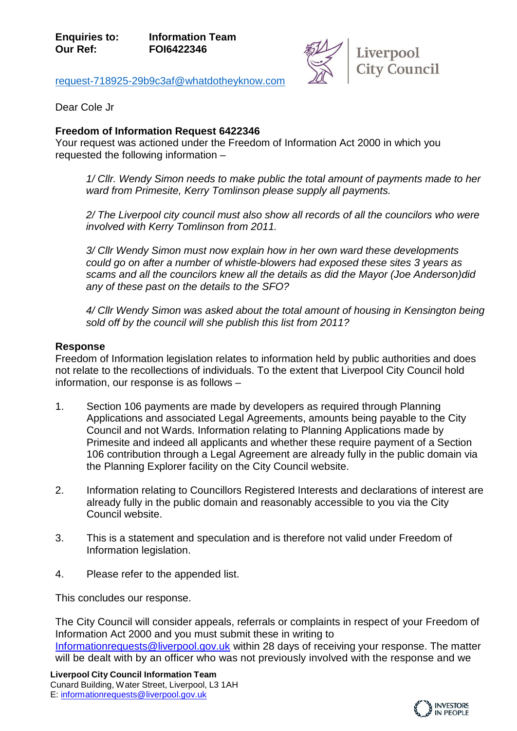

[request-718925-29b9c3af@whatdotheyknow.com](mailto:xxxxxxxxxxxxxxxxxxxxxxx@xxxxxxxxxxxxxx.xxx)

Dear Cole Jr

## **Freedom of Information Request 6422346**

Your request was actioned under the Freedom of Information Act 2000 in which you requested the following information –

*1/ Cllr. Wendy Simon needs to make public the total amount of payments made to her ward from Primesite, Kerry Tomlinson please supply all payments.* 

*2/ The Liverpool city council must also show all records of all the councilors who were involved with Kerry Tomlinson from 2011.* 

*3/ Cllr Wendy Simon must now explain how in her own ward these developments could go on after a number of whistle-blowers had exposed these sites 3 years as scams and all the councilors knew all the details as did the Mayor (Joe Anderson)did any of these past on the details to the SFO?* 

*4/ Cllr Wendy Simon was asked about the total amount of housing in Kensington being sold off by the council will she publish this list from 2011?*

## **Response**

Freedom of Information legislation relates to information held by public authorities and does not relate to the recollections of individuals. To the extent that Liverpool City Council hold information, our response is as follows –

- 1. Section 106 payments are made by developers as required through Planning Applications and associated Legal Agreements, amounts being payable to the City Council and not Wards. Information relating to Planning Applications made by Primesite and indeed all applicants and whether these require payment of a Section 106 contribution through a Legal Agreement are already fully in the public domain via the Planning Explorer facility on the City Council website.
- 2. Information relating to Councillors Registered Interests and declarations of interest are already fully in the public domain and reasonably accessible to you via the City Council website.
- 3. This is a statement and speculation and is therefore not valid under Freedom of Information legislation.
- 4. Please refer to the appended list.

This concludes our response.

The City Council will consider appeals, referrals or complaints in respect of your Freedom of Information Act 2000 and you must submit these in writing to [Informationrequests@liverpool.gov.uk](mailto:xxxxxxxxxxxxxxxxxxx@xxxxxxxxx.xxx.xx) within 28 days of receiving your response. The matter will be dealt with by an officer who was not previously involved with the response and we

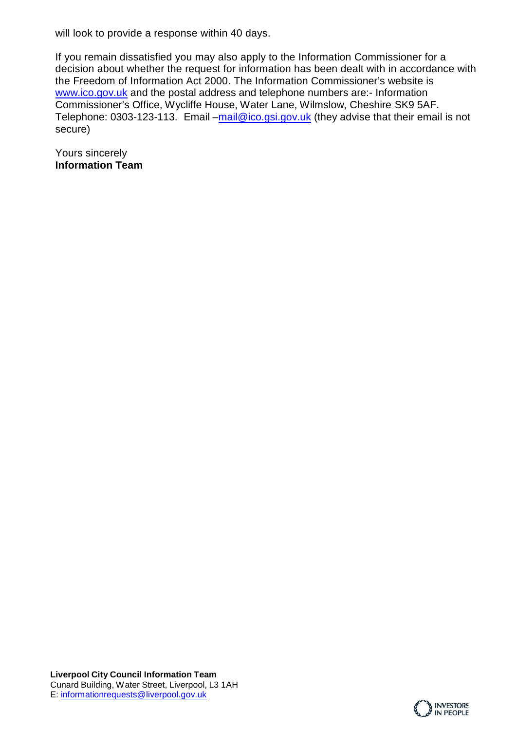will look to provide a response within 40 days.

If you remain dissatisfied you may also apply to the Information Commissioner for a decision about whether the request for information has been dealt with in accordance with the Freedom of Information Act 2000. The Information Commissioner's website is [www.ico.gov.uk](http://www.ico.gov.uk/) and the postal address and telephone numbers are:- Information Commissioner's Office, Wycliffe House, Water Lane, Wilmslow, Cheshire SK9 5AF. Telephone: 0303-123-113. Email [–mail@ico.gsi.gov.uk](mailto:xxxx@xxx.xxx.xx) (they advise that their email is not secure)

Yours sincerely **Information Team**

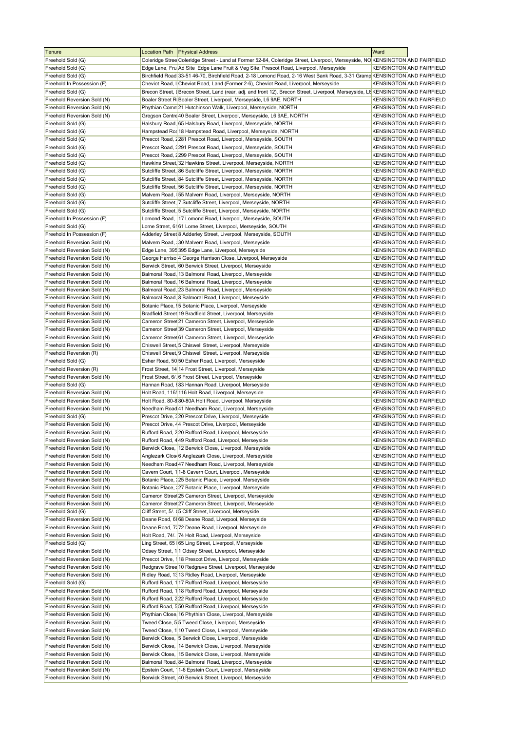| Tenure                      | Location Path Physical Address                                                                                                    | Ward                            |
|-----------------------------|-----------------------------------------------------------------------------------------------------------------------------------|---------------------------------|
| Freehold Sold (G)           | Coleridge Stree Coleridge Street - Land at Former 52-84, Coleridge Street, Liverpool, Merseyside, NO KENSINGTON AND FAIRFIELD     |                                 |
| Freehold Sold (G)           | Edge Lane, Fru Ad Site Edge Lane Fruit & Veg Site, Prescot Road, Liverpool, Merseyside                                            | <b>KENSINGTON AND FAIRFIELD</b> |
| Freehold Sold (G)           | Birchfield Road 33-51 46-70, Birchfield Road, 2-18 Lomond Road, 2-16 West Bank Road, 3-31 Gramp KENSINGTON AND FAIRFIELD          |                                 |
| Freehold In Possession (F)  | Cheviot Road, I Cheviot Road, Land (Former 2-6), Cheviot Road, Liverpool, Merseyside                                              | <b>KENSINGTON AND FAIRFIELD</b> |
| Freehold Sold (G)           | Brecon Street,   Brecon Street, Land (rear, adj. and front 12), Brecon Street, Liverpool, Merseyside, L6 KENSINGTON AND FAIRFIELD |                                 |
| Freehold Reversion Sold (N) | Boaler Street R Boaler Street, Liverpool, Merseyside, L6 9AE, NORTH                                                               | <b>KENSINGTON AND FAIRFIELD</b> |
| Freehold Reversion Sold (N) |                                                                                                                                   | <b>KENSINGTON AND FAIRFIELD</b> |
|                             | Phythian Comm 21 Hutchinson Walk, Liverpool, Merseyside, NORTH                                                                    |                                 |
| Freehold Reversion Sold (N) | Gregson Centre 40 Boaler Street, Liverpool, Merseyside, L6 9AE, NORTH                                                             | <b>KENSINGTON AND FAIRFIELD</b> |
| Freehold Sold (G)           | Halsbury Road, 65 Halsbury Road, Liverpool, Merseyside, NORTH                                                                     | <b>KENSINGTON AND FAIRFIELD</b> |
| Freehold Sold (G)           | Hampstead Roa 18 Hampstead Road, Liverpool, Merseyside, NORTH                                                                     | <b>KENSINGTON AND FAIRFIELD</b> |
| Freehold Sold (G)           | Prescot Road, 1281 Prescot Road, Liverpool, Merseyside, SOUTH                                                                     | <b>KENSINGTON AND FAIRFIELD</b> |
| Freehold Sold (G)           | Prescot Road, 1291 Prescot Road, Liverpool, Merseyside, SOUTH                                                                     | <b>KENSINGTON AND FAIRFIELD</b> |
| Freehold Sold (G)           | Prescot Road, 1299 Prescot Road, Liverpool, Merseyside, SOUTH                                                                     | <b>KENSINGTON AND FAIRFIELD</b> |
| Freehold Sold (G)           | Hawkins Street 32 Hawkins Street, Liverpool, Merseyside, NORTH                                                                    | <b>KENSINGTON AND FAIRFIELD</b> |
| Freehold Sold (G)           | Sutcliffe Street, 86 Sutcliffe Street, Liverpool, Merseyside, NORTH                                                               | <b>KENSINGTON AND FAIRFIELD</b> |
| Freehold Sold (G)           | Sutcliffe Street, 84 Sutcliffe Street, Liverpool, Merseyside, NORTH                                                               | <b>KENSINGTON AND FAIRFIELD</b> |
| Freehold Sold (G)           | Sutcliffe Street, 56 Sutcliffe Street, Liverpool, Merseyside, NORTH                                                               | <b>KENSINGTON AND FAIRFIELD</b> |
| Freehold Sold (G)           | Malvern Road, 55 Malvern Road, Liverpool, Merseyside, NORTH                                                                       | <b>KENSINGTON AND FAIRFIELD</b> |
| Freehold Sold (G)           | Sutcliffe Street, 7 Sutcliffe Street, Liverpool, Merseyside, NORTH                                                                | <b>KENSINGTON AND FAIRFIELD</b> |
| Freehold Sold (G)           | Sutcliffe Street, 5 Sutcliffe Street, Liverpool, Merseyside, NORTH                                                                | <b>KENSINGTON AND FAIRFIELD</b> |
| Freehold In Possession (F)  | Lomond Road, 17 Lomond Road, Liverpool, Merseyside, SOUTH                                                                         | <b>KENSINGTON AND FAIRFIELD</b> |
| Freehold Sold (G)           | Lorne Street, 6161 Lorne Street, Liverpool, Merseyside, SOUTH                                                                     | <b>KENSINGTON AND FAIRFIELD</b> |
| Freehold In Possession (F)  | Adderley Street 8 Adderley Street, Liverpool, Merseyside, SOUTH                                                                   | <b>KENSINGTON AND FAIRFIELD</b> |
| Freehold Reversion Sold (N) | Malvern Road, 30 Malvern Road, Liverpool, Merseyside                                                                              | <b>KENSINGTON AND FAIRFIELD</b> |
| Freehold Reversion Sold (N) | Edge Lane, 395 395 Edge Lane, Liverpool, Merseyside                                                                               | <b>KENSINGTON AND FAIRFIELD</b> |
| Freehold Reversion Sold (N) | George Harriso 4 George Harrison Close, Liverpool, Merseyside                                                                     | <b>KENSINGTON AND FAIRFIELD</b> |
| Freehold Reversion Sold (N) | Berwick Street, 60 Berwick Street, Liverpool, Merseyside                                                                          | <b>KENSINGTON AND FAIRFIELD</b> |
| Freehold Reversion Sold (N) | Balmoral Road, 13 Balmoral Road, Liverpool, Merseyside                                                                            | <b>KENSINGTON AND FAIRFIELD</b> |
| Freehold Reversion Sold (N) | Balmoral Road, 16 Balmoral Road, Liverpool, Merseyside                                                                            | <b>KENSINGTON AND FAIRFIELD</b> |
| Freehold Reversion Sold (N) | Balmoral Road, 23 Balmoral Road, Liverpool, Merseyside                                                                            | <b>KENSINGTON AND FAIRFIELD</b> |
| Freehold Reversion Sold (N) | Balmoral Road, 8 Balmoral Road, Liverpool, Merseyside                                                                             | <b>KENSINGTON AND FAIRFIELD</b> |
| Freehold Reversion Sold (N) | Botanic Place, 15 Botanic Place, Liverpool, Merseyside                                                                            | <b>KENSINGTON AND FAIRFIELD</b> |
|                             |                                                                                                                                   |                                 |
| Freehold Reversion Sold (N) | Bradfield Street 19 Bradfield Street, Liverpool, Merseyside                                                                       | <b>KENSINGTON AND FAIRFIELD</b> |
| Freehold Reversion Sold (N) | Cameron Stree 21 Cameron Street, Liverpool, Merseyside                                                                            | <b>KENSINGTON AND FAIRFIELD</b> |
| Freehold Reversion Sold (N) | Cameron Stree 39 Cameron Street, Liverpool, Merseyside                                                                            | <b>KENSINGTON AND FAIRFIELD</b> |
| Freehold Reversion Sold (N) | Cameron Stree 61 Cameron Street, Liverpool, Merseyside                                                                            | <b>KENSINGTON AND FAIRFIELD</b> |
| Freehold Reversion Sold (N) | Chiswell Street 5 Chiswell Street, Liverpool, Merseyside                                                                          | <b>KENSINGTON AND FAIRFIELD</b> |
| Freehold Reversion (R)      | Chiswell Street, 9 Chiswell Street, Liverpool, Merseyside                                                                         | <b>KENSINGTON AND FAIRFIELD</b> |
| Freehold Sold (G)           | Esher Road, 50 50 Esher Road, Liverpool, Merseyside                                                                               | <b>KENSINGTON AND FAIRFIELD</b> |
| Freehold Reversion (R)      | Frost Street, 14 14 Frost Street, Liverpool, Merseyside                                                                           | <b>KENSINGTON AND FAIRFIELD</b> |
| Freehold Reversion Sold (N) | Frost Street, 6/ 6 Frost Street, Liverpool, Merseyside                                                                            | KENSINGTON AND FAIRFIELD        |
| Freehold Sold (G)           | Hannan Road, 83 Hannan Road, Liverpool, Merseyside                                                                                | <b>KENSINGTON AND FAIRFIELD</b> |
| Freehold Reversion Sold (N) | Holt Road, 116/116 Holt Road, Liverpool, Merseyside                                                                               | <b>KENSINGTON AND FAIRFIELD</b> |
| Freehold Reversion Sold (N) | Holt Road, 80-8 80-80A Holt Road, Liverpool, Merseyside                                                                           | <b>KENSINGTON AND FAIRFIELD</b> |
| Freehold Reversion Sold (N) | Needham Road 41 Needham Road, Liverpool, Merseyside                                                                               | <b>KENSINGTON AND FAIRFIELD</b> |
| Freehold Sold (G)           | Prescot Drive, 20 Prescot Drive, Liverpool, Merseyside                                                                            | <b>KENSINGTON AND FAIRFIELD</b> |
| Freehold Reversion Sold (N) | Prescot Drive, 44 Prescot Drive, Liverpool, Merseyside                                                                            | <b>KENSINGTON AND FAIRFIELD</b> |
| Freehold Reversion Sold (N) | Rufford Road, 220 Rufford Road, Liverpool, Merseyside                                                                             | <b>KENSINGTON AND FAIRFIELD</b> |
| Freehold Reversion Sold (N) | Rufford Road, 449 Rufford Road, Liverpool, Merseyside                                                                             | KENSINGTON AND FAIRFIELD        |
| Freehold Reversion Sold (N) | Berwick Close, 12 Berwick Close, Liverpool, Merseyside                                                                            | <b>KENSINGTON AND FAIRFIELD</b> |
| Freehold Reversion Sold (N) | Anglezark Clos 6 Anglezark Close, Liverpool, Merseyside                                                                           | KENSINGTON AND FAIRFIELD        |
| Freehold Reversion Sold (N) | Needham Road 47 Needham Road, Liverpool, Merseyside                                                                               | <b>KENSINGTON AND FAIRFIELD</b> |
| Freehold Reversion Sold (N) | Cavern Court, 11-8 Cavern Court, Liverpool, Merseyside                                                                            | <b>KENSINGTON AND FAIRFIELD</b> |
| Freehold Reversion Sold (N) | Botanic Place, 125 Botanic Place, Liverpool, Merseyside                                                                           | <b>KENSINGTON AND FAIRFIELD</b> |
| Freehold Reversion Sold (N) | Botanic Place, 27 Botanic Place, Liverpool, Merseyside                                                                            | KENSINGTON AND FAIRFIELD        |
| Freehold Reversion Sold (N) | Cameron Stree 25 Cameron Street, Liverpool, Merseyside                                                                            | <b>KENSINGTON AND FAIRFIELD</b> |
| Freehold Reversion Sold (N) | Cameron Stree 27 Cameron Street, Liverpool, Merseyside                                                                            | <b>KENSINGTON AND FAIRFIELD</b> |
| Freehold Sold (G)           | Cliff Street, 5/. (5 Cliff Street, Liverpool, Merseyside                                                                          | <b>KENSINGTON AND FAIRFIELD</b> |
| Freehold Reversion Sold (N) | Deane Road, 6 68 Deane Road, Liverpool, Merseyside                                                                                | <b>KENSINGTON AND FAIRFIELD</b> |
| Freehold Reversion Sold (N) | Deane Road, 7172 Deane Road, Liverpool, Merseyside                                                                                | KENSINGTON AND FAIRFIELD        |
| Freehold Reversion Sold (N) | Holt Road, 74/. 74 Holt Road, Liverpool, Merseyside                                                                               | KENSINGTON AND FAIRFIELD        |
| Freehold Sold (G)           | Ling Street, 65 65 Ling Street, Liverpool, Merseyside                                                                             | <b>KENSINGTON AND FAIRFIELD</b> |
| Freehold Reversion Sold (N) | Odsey Street, 1 1 Odsey Street, Liverpool, Merseyside                                                                             | KENSINGTON AND FAIRFIELD        |
|                             |                                                                                                                                   |                                 |
| Freehold Reversion Sold (N) | Prescot Drive, 18 Prescot Drive, Liverpool, Merseyside                                                                            | KENSINGTON AND FAIRFIELD        |
| Freehold Reversion Sold (N) | Redgrave Stree 10 Redgrave Street, Liverpool, Merseyside                                                                          | <b>KENSINGTON AND FAIRFIELD</b> |
| Freehold Reversion Sold (N) | Ridley Road, 13 13 Ridley Road, Liverpool, Merseyside                                                                             | <b>KENSINGTON AND FAIRFIELD</b> |
| Freehold Sold (G)           | Rufford Road, 117 Rufford Road, Liverpool, Merseyside                                                                             | KENSINGTON AND FAIRFIELD        |
| Freehold Reversion Sold (N) | Rufford Road, 118 Rufford Road, Liverpool, Merseyside                                                                             | <b>KENSINGTON AND FAIRFIELD</b> |
| Freehold Reversion Sold (N) | Rufford Road, 22 Rufford Road, Liverpool, Merseyside                                                                              | KENSINGTON AND FAIRFIELD        |
| Freehold Reversion Sold (N) | Rufford Road, 550 Rufford Road, Liverpool, Merseyside                                                                             | KENSINGTON AND FAIRFIELD        |
| Freehold Reversion Sold (N) | Phythian Close 16 Phythian Close, Liverpool, Merseyside                                                                           | KENSINGTON AND FAIRFIELD        |
| Freehold Reversion Sold (N) | Tweed Close, 55 Tweed Close, Liverpool, Merseyside                                                                                | KENSINGTON AND FAIRFIELD        |
| Freehold Reversion Sold (N) | Tweed Close, 1 10 Tweed Close, Liverpool, Merseyside                                                                              | KENSINGTON AND FAIRFIELD        |
| Freehold Reversion Sold (N) | Berwick Close, 5 Berwick Close, Liverpool, Merseyside                                                                             | KENSINGTON AND FAIRFIELD        |
| Freehold Reversion Sold (N) | Berwick Close, 14 Berwick Close, Liverpool, Merseyside                                                                            | KENSINGTON AND FAIRFIELD        |
| Freehold Reversion Sold (N) | Berwick Close, 15 Berwick Close, Liverpool, Merseyside                                                                            | KENSINGTON AND FAIRFIELD        |
| Freehold Reversion Sold (N) | Balmoral Road, 84 Balmoral Road, Liverpool, Merseyside                                                                            | KENSINGTON AND FAIRFIELD        |
| Freehold Reversion Sold (N) | Epstein Court, 1-6 Epstein Court, Liverpool, Merseyside                                                                           | KENSINGTON AND FAIRFIELD        |
| Freehold Reversion Sold (N) | Berwick Street, 40 Berwick Street, Liverpool, Merseyside                                                                          | KENSINGTON AND FAIRFIELD        |